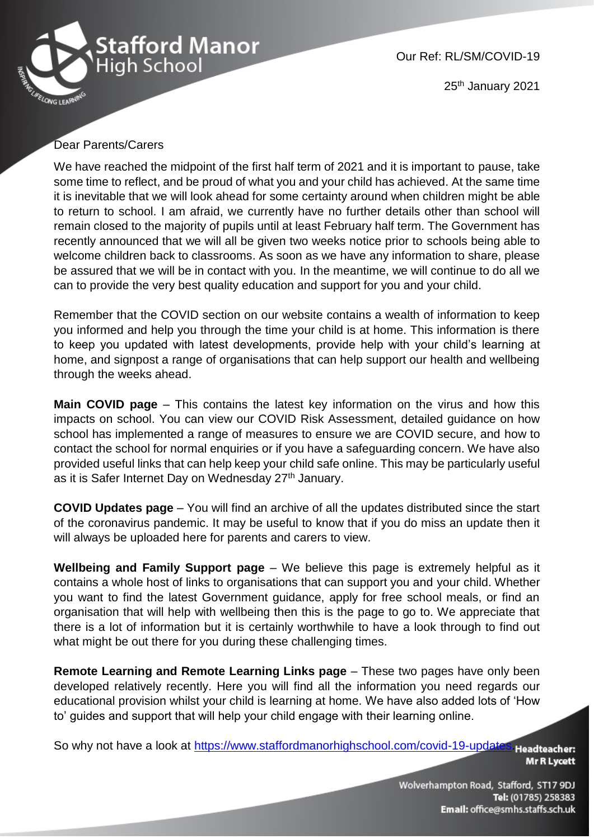

Our Ref: RL/SM/COVID-19

25<sup>th</sup> January 2021

## Dear Parents/Carers

We have reached the midpoint of the first half term of 2021 and it is important to pause, take some time to reflect, and be proud of what you and your child has achieved. At the same time it is inevitable that we will look ahead for some certainty around when children might be able to return to school. I am afraid, we currently have no further details other than school will remain closed to the majority of pupils until at least February half term. The Government has recently announced that we will all be given two weeks notice prior to schools being able to welcome children back to classrooms. As soon as we have any information to share, please be assured that we will be in contact with you. In the meantime, we will continue to do all we can to provide the very best quality education and support for you and your child.

Remember that the COVID section on our website contains a wealth of information to keep you informed and help you through the time your child is at home. This information is there to keep you updated with latest developments, provide help with your child's learning at home, and signpost a range of organisations that can help support our health and wellbeing through the weeks ahead.

**Main COVID page** – This contains the latest key information on the virus and how this impacts on school. You can view our COVID Risk Assessment, detailed guidance on how school has implemented a range of measures to ensure we are COVID secure, and how to contact the school for normal enquiries or if you have a safeguarding concern. We have also provided useful links that can help keep your child safe online. This may be particularly useful as it is Safer Internet Day on Wednesday 27<sup>th</sup> January.

**COVID Updates page** – You will find an archive of all the updates distributed since the start of the coronavirus pandemic. It may be useful to know that if you do miss an update then it will always be uploaded here for parents and carers to view.

**Wellbeing and Family Support page** – We believe this page is extremely helpful as it contains a whole host of links to organisations that can support you and your child. Whether you want to find the latest Government guidance, apply for free school meals, or find an organisation that will help with wellbeing then this is the page to go to. We appreciate that there is a lot of information but it is certainly worthwhile to have a look through to find out what might be out there for you during these challenging times.

**Remote Learning and Remote Learning Links page** – These two pages have only been developed relatively recently. Here you will find all the information you need regards our educational provision whilst your child is learning at home. We have also added lots of 'How to' guides and support that will help your child engage with their learning online.

So why not have a look at [https://www.staffordmanorhighschool.com/covid-19-updates.](https://www.staffordmanorhighschool.com/covid-19-updates) Headteacher:

**Mr R Lycett** 

Wolverhampton Road, Stafford, ST17 9DJ Tel: (01785) 258383 Email: office@smhs.staffs.sch.uk